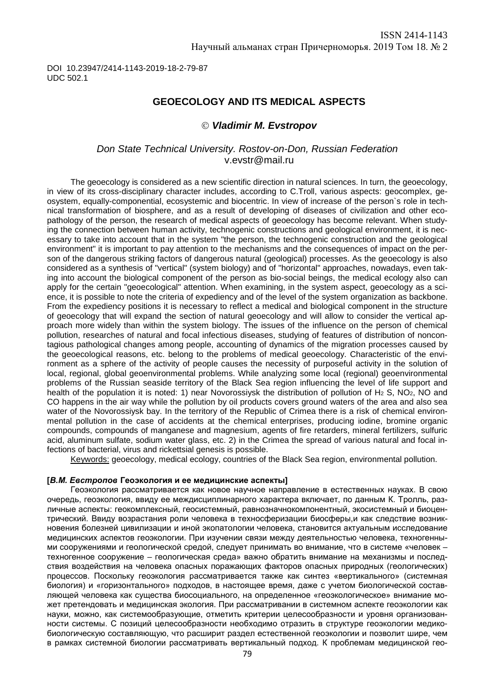DOI 10.23947/2414-1143-2019-18-2-79-87 UDC 502.1

## **GEOECOLOGY AND ITS MEDICAL ASPECTS**

### *Vladimir M. Evstropov*

### *Don State Technical University. Rostov-on-Don, Russian Federation* [v.evstr@mail.ru](mailto:v.evstr@mail.ru)

The geoecology is considered as a new scientific direction in natural sciences. In turn, the geoecology, in view of its cross-disciplinary character includes, according to C.Troll, various aspects: geocomplex, geosystem, equally-componential, ecosystemic and biocentric. In view of increase of the person`s role in technical transformation of biosphere, and as a result of developing of diseases of civilization and other ecopathology of the person, the research of medical aspects of geoecology has become relevant. When studying the connection between human activity, technogenic constructions and geological environment, it is necessary to take into account that in the system "the person, the technogenic construction and the geological environment" it is important to pay attention to the mechanisms and the consequences of impact on the person of the dangerous striking factors of dangerous natural (geological) processes. As the geoecology is also considered as a synthesis of "vertical" (system biology) and of "horizontal" approaches, nowadays, even taking into account the biological component of the person as bio-social beings, the medical ecology also can apply for the certain "geoecological" attention. When examining, in the system aspect, geoecology as a science, it is possible to note the criteria of expediency and of the level of the system organization as backbone. From the expediency positions it is necessary to reflect a medical and biological component in the structure of geoecology that will expand the section of natural geoecology and will allow to consider the vertical approach more widely than within the system biology. The issues of the influence on the person of chemical pollution, researches of natural and focal infectious diseases, studying of features of distribution of noncontagious pathological changes among people, accounting of dynamics of the migration processes caused by the geoecological reasons, etc. belong to the problems of medical geoecology. Characteristic of the environment as a sphere of the activity of people causes the necessity of purposeful activity in the solution of local, regional, global geoenvironmental problems. While analyzing some local (regional) geoenvironmental problems of the Russian seaside territory of the Black Sea region influencing the level of life support and health of the population it is noted: 1) near Novorossiysk the distribution of pollution of H<sub>2</sub> S, NO<sub>2</sub>, NO and CO happens in the air way while the pollution by oil products covers ground waters of the area and also sea water of the Novorossiysk bay. In the territory of the Republic of Crimea there is a risk of chemical environmental pollution in the case of accidents at the chemical enterprises, producing iodine, bromine organic compounds, compounds of manganese and magnesium, agents of fire retarders, mineral fertilizers, sulfuric acid, aluminum sulfate, sodium water glass, etc. 2) in the Crimea the spread of various natural and focal infections of bacterial, virus and rickettsial genesis is possible.

Keywords: geoecology, medical ecology, countries of the Black Sea region, environmental pollution.

#### **[***В.М. Евстропов* **Геоэкология и ее медицинские аспекты]**

Геоэкология рассматривается как новое научное направление в естественных науках. В свою очередь, геоэкология, ввиду ее междисциплинарного характера включает, по данным К. Тролль, различные аспекты: геокомплексный, геосистемный, равнозначнокомпонентный, экосистемный и биоцентрический. Ввиду возрастания роли человека в техносферизации биосферы,и как следствие возникновения болезней цивилизации и иной экопатологии человека, становится актуальным исследование медицинских аспектов геоэкологии. При изучении связи между деятельностью человека, техногенными сооружениями и геологической средой, следует принимать во внимание, что в системе «человек – техногенное сооружение – геологическая среда» важно обратить внимание на механизмы и последствия воздействия на человека опасных поражающих факторов опасных природных (геологических) процессов. Поскольку геоэкология рассматривается также как синтез «вертикального» (системная биология) и «горизонтального» подходов, в настоящее время, даже с учетом биологической составляющей человека как существа биосоциального, на определенное «геоэкологическое» внимание может претендовать и медицинская экология. При рассматривании в системном аспекте геоэкологии как науки, можно, как системообразующие, отметить критерии целесообразности и уровня организованности системы. С позиций целесообразности необходимо отразить в структуре геоэкологии медикобиологическую составляющую, что расширит раздел естественной геоэкологии и позволит шире, чем в рамках системной биологии рассматривать вертикальный подход. К проблемам медицинской гео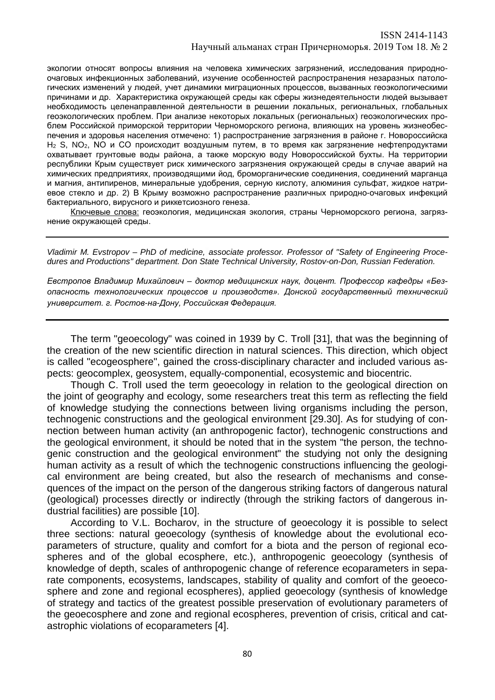экологии относят вопросы влияния на человека химических загрязнений, исследования природноочаговых инфекционных заболеваний, изучение особенностей распространения незаразных патологических изменений у людей, учет динамики миграционных процессов, вызванных геоэкологическими причинами и др. Характеристика окружающей среды как сферы жизнедеятельности людей вызывает необходимость целенаправленной деятельности в решении локальных, региональных, глобальных геоэкологических проблем. При анализе некоторых локальных (региональных) геоэкологических проблем Российской приморской территории Черноморского региона, влияющих на уровень жизнеобеспечения и здоровья населения отмечено: 1) распространение загрязнения в районе г. Новороссийска  $H_2$  S, NO<sub>2</sub>, NO и CO происходит воздушным путем, в то время как загрязнение нефтепродуктами охватывает грунтовые воды района, а также морскую воду Новороссийской бухты. На территории республики Крым существует риск химического загрязнения окружающей среды в случае аварий на химических предприятиях, производящими йод, броморганические соединения, соединений марганца и магния, антипиренов, минеральные удобрения, серную кислоту, алюминия сульфат, жидкое натриевое стекло и др. 2) В Крыму возможно распространение различных природно-очаговых инфекций бактериального, вирусного и риккетсиозного генеза.

Ключевые слова: геоэкология, медицинская экология, страны Черноморского региона, загрязнение окружающей среды.

*Vladimir M. Evstropov – PhD of medicine, associate professor. Professor of "Safety of Engineering Procedures and Productions" department. Don State Technical University, Rostov-on-Don, Russian Federation.*

*Евстропов Владимир Михайлович – доктор медицинских наук, доцент. Профессор кафедры «Безопасность технологических процессов и производств». Донской государственный технический университет. г. Ростов-на-Дону, Российская Федерация.*

The term "geoecology" was coined in 1939 by C. Troll [31], that was the beginning of the creation of the new scientific direction in natural sciences. This direction, which object is called "ecogeosphere", gained the cross-disciplinary character and included various aspects: geocomplex, geosystem, equally-componential, ecosystemic and biocentric.

Though C. Troll used the term geoecology in relation to the geological direction on the joint of geography and ecology, some researchers treat this term as reflecting the field of knowledge studying the connections between living organisms including the person, technogenic constructions and the geological environment [29.30]. As for studying of connection between human activity (an anthropogenic factor), technogenic constructions and the geological environment, it should be noted that in the system "the person, the technogenic construction and the geological environment" the studying not only the designing human activity as a result of which the technogenic constructions influencing the geological environment are being created, but also the research of mechanisms and consequences of the impact on the person of the dangerous striking factors of dangerous natural (geological) processes directly or indirectly (through the striking factors of dangerous industrial facilities) are possible [10].

According to V.L. Bocharov, in the structure of geoecology it is possible to select three sections: natural geoecology (synthesis of knowledge about the evolutional ecoparameters of structure, quality and comfort for a biota and the person of regional ecospheres and of the global ecosphere, etc.), anthropogenic geoecology (synthesis of knowledge of depth, scales of anthropogenic change of reference ecoparameters in separate components, ecosystems, landscapes, stability of quality and comfort of the geoecosphere and zone and regional ecospheres), applied geoecology (synthesis of knowledge of strategy and tactics of the greatest possible preservation of evolutionary parameters of the geoecosphere and zone and regional ecospheres, prevention of crisis, critical and catastrophic violations of ecoparameters [4].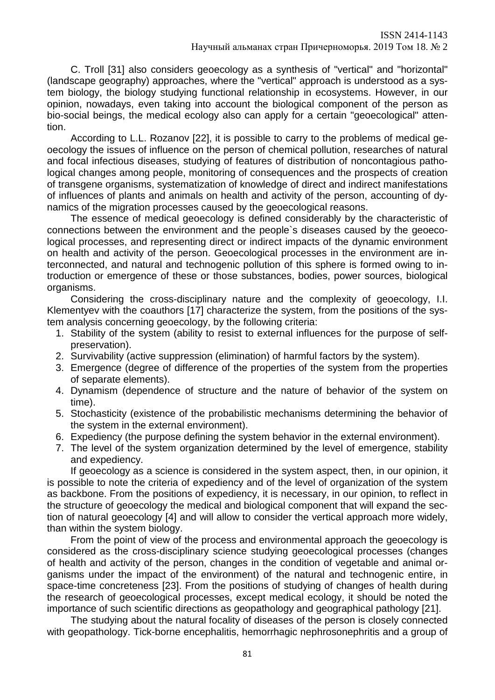C. Troll [31] also considers geoecology as a synthesis of "vertical" and "horizontal" (landscape geography) approaches, where the "vertical" approach is understood as a system biology, the biology studying functional relationship in ecosystems. However, in our opinion, nowadays, even taking into account the biological component of the person as bio-social beings, the medical ecology also can apply for a certain "geoecological" attention.

According to L.L. Rozanov [22], it is possible to carry to the problems of medical geoecology the issues of influence on the person of chemical pollution, researches of natural and focal infectious diseases, studying of features of distribution of noncontagious pathological changes among people, monitoring of consequences and the prospects of creation of transgene organisms, systematization of knowledge of direct and indirect manifestations of influences of plants and animals on health and activity of the person, accounting of dynamics of the migration processes caused by the geoecological reasons.

The essence of medical geoecology is defined considerably by the characteristic of connections between the environment and the people`s diseases caused by the geoecological processes, and representing direct or indirect impacts of the dynamic environment on health and activity of the person. Geoecological processes in the environment are interconnected, and natural and technogenic pollution of this sphere is formed owing to introduction or emergence of these or those substances, bodies, power sources, biological organisms.

Considering the cross-disciplinary nature and the complexity of geoecology, I.I. Klementyev with the coauthors [17] characterize the system, from the positions of the system analysis concerning geoecology, by the following criteria:

- 1. Stability of the system (ability to resist to external influences for the purpose of selfpreservation).
- 2. Survivability (active suppression (elimination) of harmful factors by the system).
- 3. Emergence (degree of difference of the properties of the system from the properties of separate elements).
- 4. Dynamism (dependence of structure and the nature of behavior of the system on time).
- 5. Stochasticity (existence of the probabilistic mechanisms determining the behavior of the system in the external environment).
- 6. Expediency (the purpose defining the system behavior in the external environment).
- 7. The level of the system organization determined by the level of emergence, stability and expediency.

If geoecology as a science is considered in the system aspect, then, in our opinion, it is possible to note the criteria of expediency and of the level of organization of the system as backbone. From the positions of expediency, it is necessary, in our opinion, to reflect in the structure of geoecology the medical and biological component that will expand the section of natural geoecology [4] and will allow to consider the vertical approach more widely, than within the system biology.

From the point of view of the process and environmental approach the geoecology is considered as the cross-disciplinary science studying geoecological processes (changes of health and activity of the person, changes in the condition of vegetable and animal organisms under the impact of the environment) of the natural and technogenic entire, in space-time concreteness [23]. From the positions of studying of changes of health during the research of geoecological processes, except medical ecology, it should be noted the importance of such scientific directions as geopathology and geographical pathology [21].

The studying about the natural focality of diseases of the person is closely connected with geopathology. Tick-borne encephalitis, hemorrhagic nephrosonephritis and a group of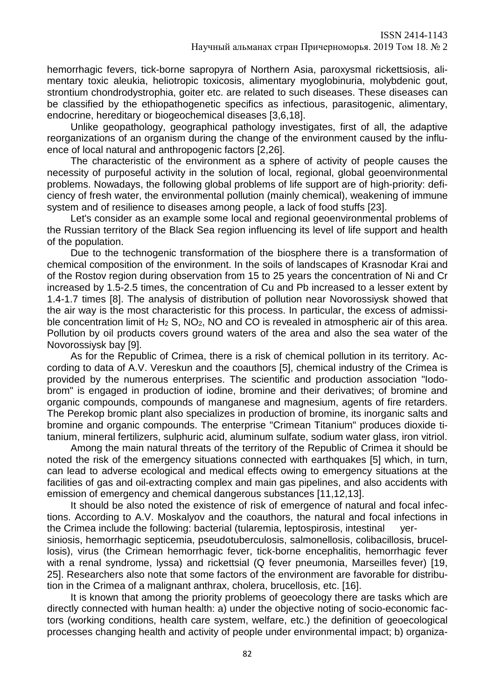hemorrhagic fevers, tick-borne sapropyra of Northern Asia, paroxysmal rickettsiosis, alimentary toxic aleukia, heliotropic toxicosis, alimentary myoglobinuria, molybdenic gout, strontium chondrodystrophia, goiter etc. are related to such diseases. These diseases can be classified by the ethiopathogenetic specifics as infectious, parasitogenic, alimentary, endocrine, hereditary or biogeochemical diseases [3,6,18].

Unlike geopathology, geographical pathology investigates, first of all, the adaptive reorganizations of an organism during the change of the environment caused by the influence of local natural and anthropogenic factors [2,26].

The characteristic of the environment as a sphere of activity of people causes the necessity of purposeful activity in the solution of local, regional, global geoenvironmental problems. Nowadays, the following global problems of life support are of high-priority: deficiency of fresh water, the environmental pollution (mainly chemical), weakening of immune system and of resilience to diseases among people, a lack of food stuffs [23].

Let's consider as an example some local and regional geoenvironmental problems of the Russian territory of the Black Sea region influencing its level of life support and health of the population.

Due to the technogenic transformation of the biosphere there is a transformation of chemical composition of the environment. In the soils of landscapes of Krasnodar Krai and of the Rostov region during observation from 15 to 25 years the concentration of Ni and Cr increased by 1.5-2.5 times, the concentration of Cu and Pb increased to a lesser extent by 1.4-1.7 times [8]. The analysis of distribution of pollution near Novorossiysk showed that the air way is the most characteristic for this process. In particular, the excess of admissible concentration limit of  $H_2$  S, NO<sub>2</sub>, NO and CO is revealed in atmospheric air of this area. Pollution by oil products covers ground waters of the area and also the sea water of the Novorossiysk bay [9].

As for the Republic of Crimea, there is a risk of chemical pollution in its territory. According to data of A.V. Vereskun and the coauthors [5], chemical industry of the Crimea is provided by the numerous enterprises. The scientific and production association "Iodobrom" is engaged in production of iodine, bromine and their derivatives; of bromine and organic compounds, compounds of manganese and magnesium, agents of fire retarders. The Perekop bromic plant also specializes in production of bromine, its inorganic salts and bromine and organic compounds. The enterprise "Crimean Titanium" produces dioxide titanium, mineral fertilizers, sulphuric acid, aluminum sulfate, sodium water glass, iron vitriol.

Among the main natural threats of the territory of the Republic of Crimea it should be noted the risk of the emergency situations connected with earthquakes [5] which, in turn, can lead to adverse ecological and medical effects owing to emergency situations at the facilities of gas and oil-extracting complex and main gas pipelines, and also accidents with emission of emergency and chemical dangerous substances [11,12,13].

It should be also noted the existence of risk of emergence of natural and focal infections. According to A.V. Moskalyov and the coauthors, the natural and focal infections in the Crimea include the following: bacterial (tularemia, leptospirosis, intestinal yersiniosis, hemorrhagic septicemia, pseudotuberculosis, salmonellosis, colibacillosis, brucellosis), virus (the Crimean hemorrhagic fever, tick-borne encephalitis, hemorrhagic fever with a renal syndrome, lyssa) and rickettsial (Q fever pneumonia, Marseilles fever) [19,

25]. Researchers also note that some factors of the environment are favorable for distribution in the Crimea of a malignant anthrax, cholera, brucellosis, etc. [16].

It is known that among the priority problems of geoecology there are tasks which are directly connected with human health: a) under the objective noting of socio-economic factors (working conditions, health care system, welfare, etc.) the definition of geoecological processes changing health and activity of people under environmental impact; b) organiza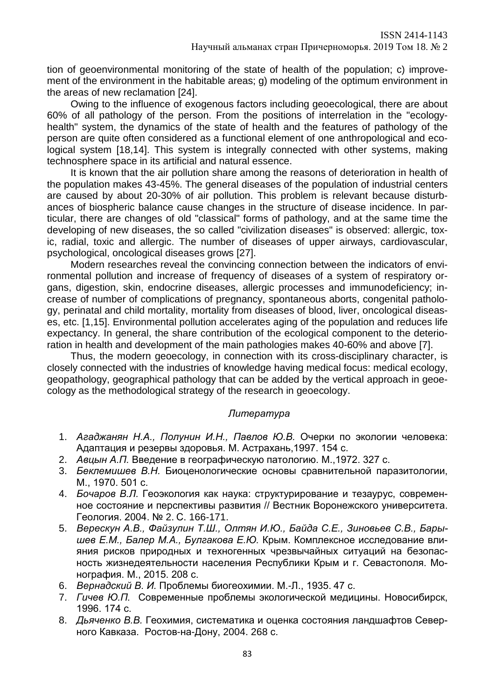tion of geoenvironmental monitoring of the state of health of the population; c) improvement of the environment in the habitable areas; g) modeling of the optimum environment in the areas of new reclamation [24].

Owing to the influence of exogenous factors including geoecological, there are about 60% of all pathology of the person. From the positions of interrelation in the "ecologyhealth" system, the dynamics of the state of health and the features of pathology of the person are quite often considered as a functional element of one anthropological and ecological system [18,14]. This system is integrally connected with other systems, making technosphere space in its artificial and natural essence.

It is known that the air pollution share among the reasons of deterioration in health of the population makes 43-45%. The general diseases of the population of industrial centers are caused by about 20-30% of air pollution. This problem is relevant because disturbances of biospheric balance cause changes in the structure of disease incidence. In particular, there are changes of old "classical" forms of pathology, and at the same time the developing of new diseases, the so called "civilization diseases" is observed: allergic, toxic, radial, toxic and allergic. The number of diseases of upper airways, cardiovascular, psychological, oncological diseases grows [27].

Modern researches reveal the convincing connection between the indicators of environmental pollution and increase of frequency of diseases of a system of respiratory organs, digestion, skin, endocrine diseases, allergic processes and immunodeficiency; increase of number of complications of pregnancy, spontaneous aborts, congenital pathology, perinatal and child mortality, mortality from diseases of blood, liver, oncological diseases, etc. [1,15]. Environmental pollution accelerates aging of the population and reduces life expectancy. In general, the share contribution of the ecological component to the deterioration in health and development of the main pathologies makes 40-60% and above [7].

Thus, the modern geoecology, in connection with its cross-disciplinary character, is closely connected with the industries of knowledge having medical focus: medical ecology, geopathology, geographical pathology that can be added by the vertical approach in geoecology as the methodological strategy of the research in geoecology.

## *Литература*

- 1. *Агаджанян Н.А., Полунин И.Н., Павлов Ю.В.* Очерки по экологии человека: Адаптация и резервы здоровья. М. Астрахань,1997. 154 с.
- 2. *Авцын А.П.* Введение в географическую патологию. М.,1972. 327 с.
- 3. *Беклемишев В.Н.* Биоценологические основы сравнительной паразитологии, М., 1970. 501 с.
- 4. *Бочаров В.Л.* Геоэкология как наука: структурирование и тезаурус, современное состояние и перспективы развития // Вестник Воронежского университета. Геология. 2004. № 2. С. 166-171.
- 5. *Верескун А.В., Файзулин Т.Ш., Олтян И.Ю., Байда С.Е., Зиновьев С.В., Барышев Е.М., Балер М.А., Булгакова Е.Ю.* Крым. Комплексное исследование влияния рисков природных и техногенных чрезвычайных ситуаций на безопасность жизнедеятельности населения Республики Крым и г. Севастополя. Монография. М., 2015. 208 с.
- 6. *Вернадский В. И.* Проблемы биогеохимии. М.-Л., 1935. 47 с.
- 7. *Гичев Ю.П.* Современные проблемы экологической медицины. Новосибирск, 1996. 174 с.
- 8. *Дьяченко В.В.* Геохимия, систематика и оценка состояния ландшафтов Северного Кавказа. Ростов-на-Дону, 2004. 268 с.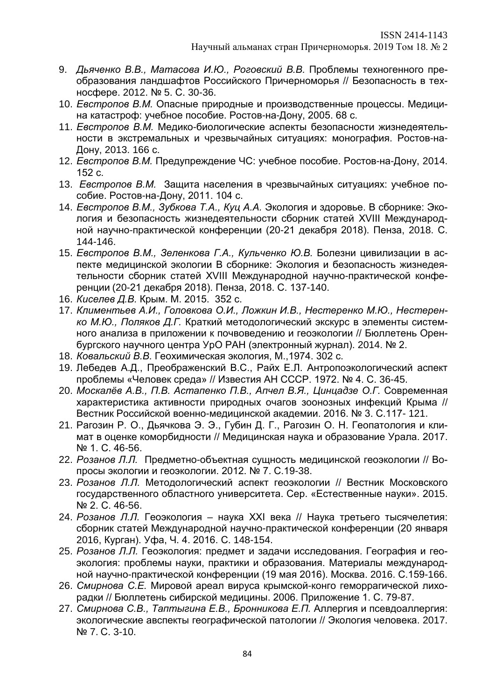- 9. *Дьяченко В.В., Матасова И.Ю., Роговский В.В.* Проблемы техногенного преобразования ландшафтов Российского Причерноморья // Безопасность в техносфере. 2012. № 5. С. 30-36.
- 10. *Евстропов В.М.* Опасные природные и производственные процессы. Медицина катастроф: учебное пособие. Ростов-на-Дону, 2005. 68 с.
- 11. *Евстропов В.М.* Медико-биологические аспекты безопасности жизнедеятельности в экстремальных и чрезвычайных ситуациях: монография. Ростов-на-Дону, 2013. 166 с.
- 12. *Евстропов В.М.* Предупреждение ЧС: учебное пособие. Ростов-на-Дону, 2014. 152 с.
- 13. *Евстропов В.М.* Защита населения в чрезвычайных ситуациях: учебное пособие. Ростов-на-Дону, 2011. 104 с.
- 14. *Евстропов В.М., Зубкова Т.А., Куц А.А.* Экология и здоровье. В сборнике: Экология и безопасность жизнедеятельности сборник статей XVIII Международной научно-практической конференции (20-21 декабря 2018). Пенза, 2018. С. 144-146.
- 15. *Евстропов В.М., Зеленкова Г.А., Кульченко Ю.В.* Болезни цивилизации в аспекте медицинской экологии В сборнике: Экология и безопасность жизнедеятельности сборник статей XVIII Международной научно-практической конференции (20-21 декабря 2018). Пенза, 2018. С. 137-140.
- 16. *Киселев Д.В.* Крым. М. 2015. 352 с.
- 17. *Климентьев А.И., Головкова О.И., Ложкин И.В., Нестеренко М.Ю., Нестеренко М.Ю., Поляков Д.Г.* Краткий методологический экскурс в элементы системного анализа в приложении к почвоведению и геоэкологии // Бюллетень Оренбургского научного центра УрО РАН (электронный журнал). 2014. № 2.
- 18. *Ковальский В.В.* Геохимическая экология, М.,1974. 302 с.
- 19. Лебедев А.Д., Преображенский B.C., Райх Е.Л. Антропоэкологический аспект проблемы «Человек среда» // Известия АН СССР. 1972. № 4. С. 36-45.
- 20. *Москалёв А.В., П.В. Астапенко П.В., Апчел В.Я., Цинцадзе О.Г.* Современная характеристика активности природных очагов зоонозных инфекций Крыма // Вестник Российской военно-медицинской академии. 2016. № 3. С.117- 121.
- 21. Рагозин Р. О., Дьячкова Э. Э., Губин Д. Г., Рагозин О. Н. Геопатология и климат в оценке коморбидности // Медицинская наука и образование Урала. 2017. № 1. С. 46-56.
- 22. *Розанов Л.Л.* Предметно-объектная сущность медицинской геоэкологии // Вопросы экологии и геоэкологии. 2012. № 7. С.19-38.
- 23. *Розанов Л.Л.* Методологический аспект геоэкологии // Вестник Московского государственного областного университета. Сер. «Естественные науки». 2015. № 2. С. 46-56.
- 24. *Розанов Л.Л.* Геоэкология наука XXI века // Наука третьего тысячелетия: сборник статей Международной научно-практической конференции (20 января 2016, Курган). Уфа, Ч. 4. 2016. С. 148-154.
- 25. *Розанов Л.Л.* Геоэкология: предмет и задачи исследования. География и геоэкология: проблемы науки, практики и образования. Материалы международной научно-практической конференции (19 мая 2016). Москва. 2016. С.159-166.
- 26. *Смирнова С.Е.* Мировой ареал вируса крымской-конго геморрагической лихорадки // Бюллетень сибирской медицины. 2006. Приложение 1. С. 79-87.
- 27. *Смирнова С.В., Таптыгина Е.В., Бронникова Е.П.* Аллергия и псевдоаллергия: экологические авспекты географической патологии // Экология человека. 2017. № 7. С. 3-10.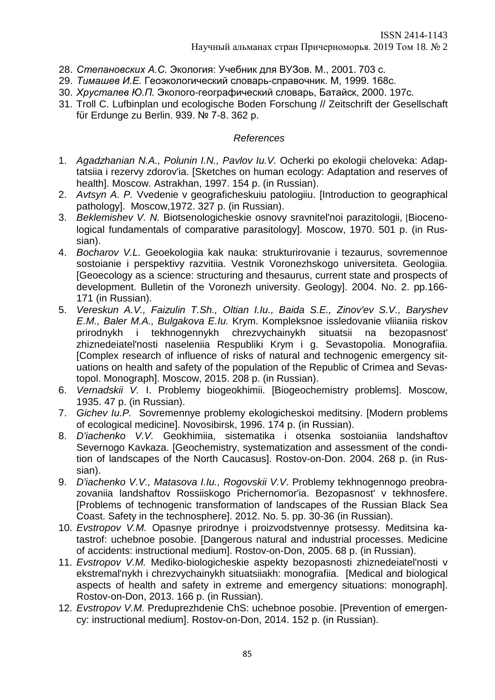- 28. *Степановских А.С.* Экология: Учебник для ВУЗов. М., 2001. 703 с.
- 29. *Тимашев И.Е.* Геоэкологический словарь-справочник. М, 1999. 168с.
- 30. *Хрусталев Ю.П.* Эколого-географический словарь, Батайск, 2000. 197с.
- 31. Troll C. Lufbinplan und ecologische Boden Forschung // Zeitschrift der Gesellschaft fϋr Erdunge zu Berlin. 939. № 7-8. 362 р.

# *References*

- 1. *Agadzhanian N.A., Polunin I.N., Pavlov Iu.V.* Ocherki po ekologii cheloveka: Adaptatsiia i rezervy zdorov'ia. [Sketches on human ecology: Adaptation and reserves of health]. Moscow. Astrakhan, 1997. 154 p. (in Russian).
- 2. *Avtsyn A. P.* Vvedenie v geograficheskuiu patologiiu. [Introduction to geographical pathology]. Moscow,1972. 327 p. (in Russian).
- 3. *Beklemishev V. N.* Biotsenologicheskie osnovy sravnitel'noi parazitologii, [Biocenological fundamentals of comparative parasitology]. Moscow, 1970. 501 p. (in Russian).
- 4. *Bocharov V.L.* Geoekologiia kak nauka: strukturirovanie i tezaurus, sovremennoe sostoianie i perspektivy razvitiia. Vestnik Voronezhskogo universiteta. Geologiia. [Geoecology as a science: structuring and thesaurus, current state and prospects of development. Bulletin of the Voronezh university. Geology]. 2004. No. 2. pp.166- 171 (in Russian).
- 5. *Vereskun A.V., Faizulin T.Sh., Oltian I.Iu., Baida S.E., Zinov'ev S.V., Baryshev E.M., Baler M.A., Bulgakova E.Iu.* Krym. Kompleksnoe issledovanie vliianiia riskov prirodnykh i tekhnogennykh chrezvychainykh situatsii na bezopasnost' zhiznedeiatel'nosti naseleniia Respubliki Krym i g. Sevastopolia. Monografiia. [Complex research of influence of risks of natural and technogenic emergency situations on health and safety of the population of the Republic of Crimea and Sevastopol. Monograph]. Moscow, 2015. 208 p. (in Russian).
- 6. *Vernadskii V.* I. Problemy biogeokhimii. [Biogeochemistry problems]. Moscow, 1935. 47 p. (in Russian).
- 7. *Gichev Iu.P.* Sovremennye problemy ekologicheskoi meditsiny. [Modern problems of ecological medicine]. Novosibirsk, 1996. 174 p. (in Russian).
- 8. *D'iachenko V.V.* Geokhimiia, sistematika i otsenka sostoianiia landshaftov Severnogo Kavkaza. [Geochemistry, systematization and assessment of the condition of landscapes of the North Caucasus]. Rostov-on-Don. 2004. 268 p. (in Russian).
- 9. *D'iachenko V.V., Matasova I.Iu., Rogovskii V.V*. Problemy tekhnogennogo preobrazovaniia landshaftov Rossiiskogo Prichernomor'ia. Bezopasnost' v tekhnosfere. [Problems of technogenic transformation of landscapes of the Russian Black Sea Coast. Safety in the technosphere]. 2012. No. 5. pp. 30-36 (in Russian).
- 10. *Evstropov V.M.* Opasnye prirodnye i proizvodstvennye protsessy. Meditsina katastrof: uchebnoe posobie. [Dangerous natural and industrial processes. Medicine of accidents: instructional medium]. Rostov-on-Don, 2005. 68 p. (in Russian).
- 11. *Evstropov V.M.* Mediko-biologicheskie aspekty bezopasnosti zhiznedeiatel'nosti v ekstremal'nykh i chrezvychainykh situatsiiakh: monografiia. [Medical and biological aspects of health and safety in extreme and emergency situations: monograph]. Rostov-on-Don, 2013. 166 p. (in Russian).
- 12. *Evstropov V.M.* Preduprezhdenie ChS: uchebnoe posobie. [Prevention of emergency: instructional medium]. Rostov-on-Don, 2014. 152 p. (in Russian).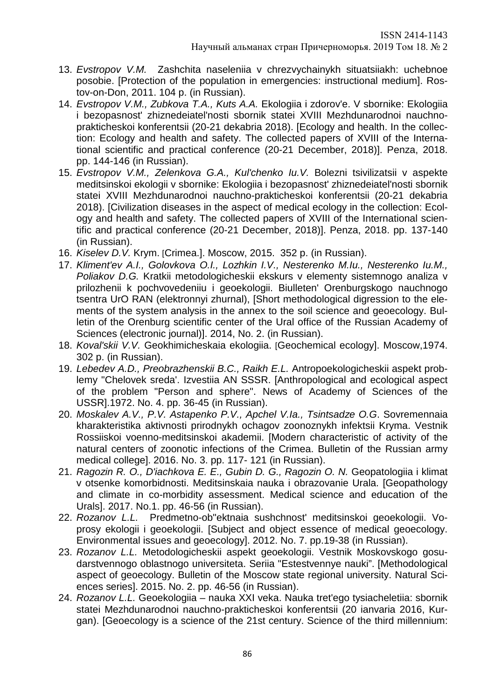- 13. *Evstropov V.M.* Zashchita naseleniia v chrezvychainykh situatsiiakh: uchebnoe posobie. [Protection of the population in emergencies: instructional medium]. Rostov-on-Don, 2011. 104 p. (in Russian).
- 14. *Evstropov V.M., Zubkova T.A., Kuts A.A.* Ekologiia i zdorov'e. V sbornike: Ekologiia i bezopasnost' zhiznedeiatel'nosti sbornik statei XVIII Mezhdunarodnoi nauchnoprakticheskoi konferentsii (20-21 dekabria 2018). [Ecology and health. In the collection: Ecology and health and safety. The collected papers of XVIII of the International scientific and practical conference (20-21 December, 2018)]. Penza, 2018. pp. 144-146 (in Russian).
- 15. *Evstropov V.M., Zelenkova G.A., Kul'chenko Iu.V.* Bolezni tsivilizatsii v aspekte meditsinskoi ekologii v sbornike: Ekologiia i bezopasnost' zhiznedeiatel'nosti sbornik statei XVIII Mezhdunarodnoi nauchno-prakticheskoi konferentsii (20-21 dekabria 2018). [Civilization diseases in the aspect of medical ecology in the collection: Ecology and health and safety. The collected papers of XVIII of the International scientific and practical conference (20-21 December, 2018)]. Penza, 2018. pp. 137-140 (in Russian).
- 16. *Kiselev D.V.* Krym. [Crimea.]. Moscow, 2015. 352 p. (in Russian).
- 17. *Kliment'ev A.I., Golovkova O.I., Lozhkin I.V., Nesterenko M.Iu., Nesterenko Iu.M., Poliakov D.G.* Kratkii metodologicheskii ekskurs v elementy sistemnogo analiza v prilozhenii k pochvovedeniiu i geoekologii. Biulleten' Orenburgskogo nauchnogo tsentra UrO RAN (elektronnyi zhurnal), [Short methodological digression to the elements of the system analysis in the annex to the soil science and geoecology. Bulletin of the Orenburg scientific center of the Ural office of the Russian Academy of Sciences (electronic journal)]. 2014, No. 2. (in Russian).
- 18. *Koval'skii V.V.* Geokhimicheskaia ekologiia. [Geochemical ecology]. Moscow,1974. 302 p. (in Russian).
- 19. *Lebedev A.D., Preobrazhenskii B.C., Raikh E.L.* Antropoekologicheskii aspekt problemy "Chelovek sreda'. Izvestiia AN SSSR. [Anthropological and ecological aspect of the problem "Person and sphere". News of Academy of Sciences of the USSR].1972. No. 4. pp. 36-45 (in Russian).
- 20. *Moskalev A.V., P.V. Astapenko P.V., Apchel V.Ia., Tsintsadze O.G*. Sovremennaia kharakteristika aktivnosti prirodnykh ochagov zoonoznykh infektsii Kryma. Vestnik Rossiiskoi voenno-meditsinskoi akademii. [Modern characteristic of activity of the natural centers of zoonotic infections of the Crimea. Bulletin of the Russian army medical college]. 2016. No. 3. pp. 117- 121 (in Russian).
- 21. *Ragozin R. O., D'iachkova E. E., Gubin D. G., Ragozin O. N.* Geopatologiia i klimat v otsenke komorbidnosti. Meditsinskaia nauka i obrazovanie Urala. [Geopathology and climate in co-morbidity assessment. Medical science and education of the Urals]. 2017. No.1. pp. 46-56 (in Russian).
- 22. *Rozanov L.L.* Predmetno-ob"ektnaia sushchnost' meditsinskoi geoekologii. Voprosy ekologii i geoekologii. [Subject and object essence of medical geoecology. Environmental issues and geoecology]. 2012. No. 7. pp.19-38 (in Russian).
- 23. *Rozanov L.L.* Metodologicheskii aspekt geoekologii. Vestnik Moskovskogo gosudarstvennogo oblastnogo universiteta. Seriia "Estestvennye nauki". [Methodological aspect of geoecology. Bulletin of the Moscow state regional university. Natural Sciences series]. 2015. No. 2. pp. 46-56 (in Russian).
- 24. *Rozanov L.L.* Geoekologiia nauka XXI veka. Nauka tret'ego tysiacheletiia: sbornik statei Mezhdunarodnoi nauchno-prakticheskoi konferentsii (20 ianvaria 2016, Kurgan). [Geoecology is a science of the 21st century. Science of the third millennium: